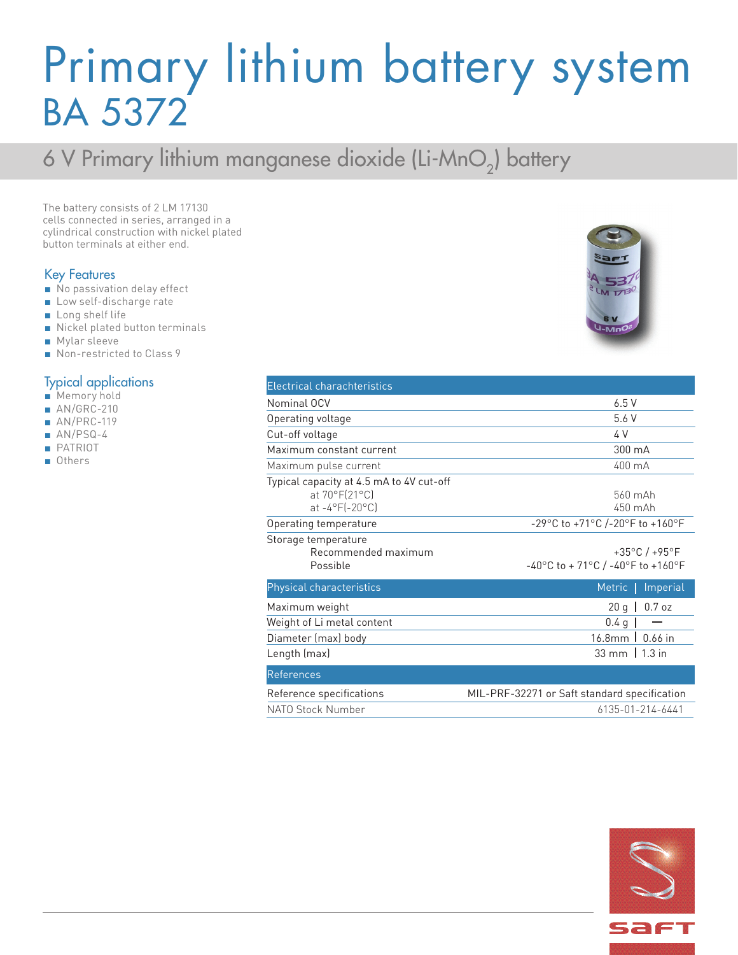## Primary lithium battery system BA 5372

### 6 V Primary lithium manganese dioxide (Li-MnO<sub>2</sub>) battery

The battery consists of 2 LM 17130 cells connected in series, arranged in a cylindrical construction with nickel plated button terminals at either end.

### Key Features

- No passivation delay effect
- Low self-discharge rate
- Long shelf life
- Nickel plated button terminals
- Mylar sleeve
- Non-restricted to Class 9

### Typical applications

- Memory hold
- AN/GRC-210
- AN/PRC-119
- AN/PSQ-4
- PATRIOT
- Others

| <b>Electrical charachteristics</b>       |                                              |
|------------------------------------------|----------------------------------------------|
| Nominal OCV                              | 6.5V                                         |
| Operating voltage                        | 5.6 V                                        |
| Cut-off voltage                          | 4 V                                          |
| Maximum constant current                 | 300 mA                                       |
| Maximum pulse current                    | 400 mA                                       |
| Typical capacity at 4.5 mA to 4V cut-off |                                              |
| at 70°F(21°C)                            | 560 mAh                                      |
| $at -4^{\circ}F[-20^{\circ}C]$           | 450 mAh                                      |
| Operating temperature                    | -29°C to +71°C /-20°F to +160°F              |
| Storage temperature                      |                                              |
| Recommended maximum                      | $+35^{\circ}$ C / $+95^{\circ}$ F            |
| Possible                                 | -40°C to + 71°C / -40°F to +160°F            |
| Physical characteristics                 | Metric   Imperial                            |
| Maximum weight                           | $20 g$  <br>$0.7$ oz                         |
| Weight of Li metal content               | 0.4 <sub>g</sub>                             |
| Diameter (max) body                      | 16.8mm   0.66 in                             |
| Length (max)                             | 33 mm   1.3 in                               |
| <b>References</b>                        |                                              |
| Reference specifications                 | MIL-PRF-32271 or Saft standard specification |
| NATO Stock Number                        | 6135-01-214-6441                             |



 $1730$ 

 $-Mn$